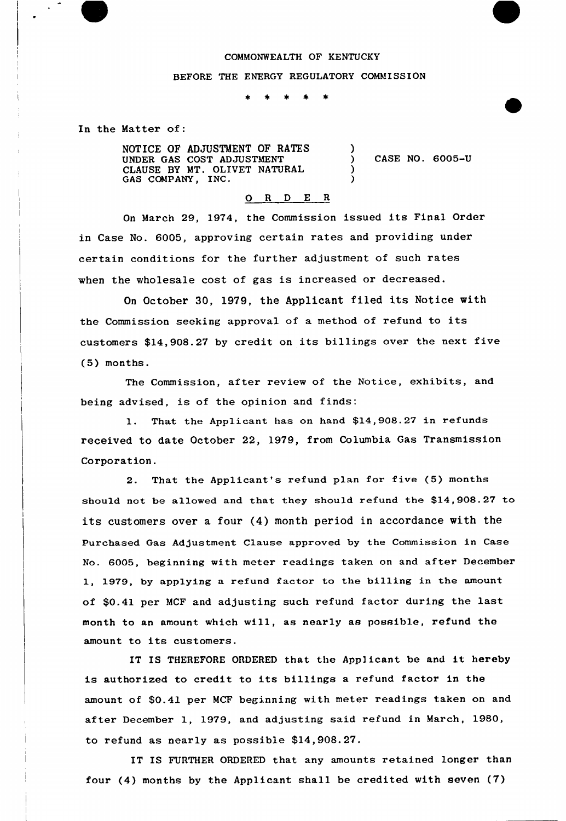## COMMONWEALTH OF KENTUCKY

## BEFORE THE ENERGY REGULATORY COMMISSION

\* \*  $\pm$  $\ast$ 

In the Matter of:

NOTICE OF ADJUSTMENT OF RATES UNDER GAS COST ADJUSTMENT CLAUSE BY MT. OLIVET NATURAL GAS COMPANY, INC. ) ) CASE NO. 6005-U  $\lambda$ )

## 0 <sup>R</sup> <sup>D</sup> E <sup>R</sup>

On March 29, 1974, the Commission issued its Final Order in Case No. 6005, approving certain rates and providing under certain conditions for the further adjustment of such rates when the wholesale cost of gas is increased or decreased.

On October 30, 1979, the Applicant filed its Notice with the Commission seeking approval of <sup>a</sup> method of refund to its customers \$14,908.27 by credit on its billings over the next five (5) months.

The Commission, after review of the Notice, exhibits, and being advised, is of the opinion and finds:

1. That the Applicant has on hand \$14,908.27 in refunds received to date October 22, 1979, from Columbia Gas Transmission Corporation.

2. That the Applicant's refund plan for five (5) months should not be allowed and that they should refund the \$14,908.27 to its customers over <sup>a</sup> four (4) month period in accordance with the Purchased Gas Adjustment Clause approved by the Commission in Case No. 6005, beginning with meter readings taken on and after December 1, 1979, by applying a refund factor to the billing in the amount of \$0.41 per MCF and adjusting such refund factor during the last month to an amount which will, as nearly as possible, refund the amount to its customers.

IT IS THEREFORE ORDERED that the Applicant be and it hereby is authorized to credit to its billings <sup>a</sup> refund factor in the amount of \$0.41 per MCF beginning with meter readings taken on and after December 1, 1979, and adjusting said refund in March, 1980, to refund as nearly as possible \$14,908.27.

IT IS FURTHER ORDERED that any amounts retained longer than four (4) months by the Applicant shall be credited with seven (7)